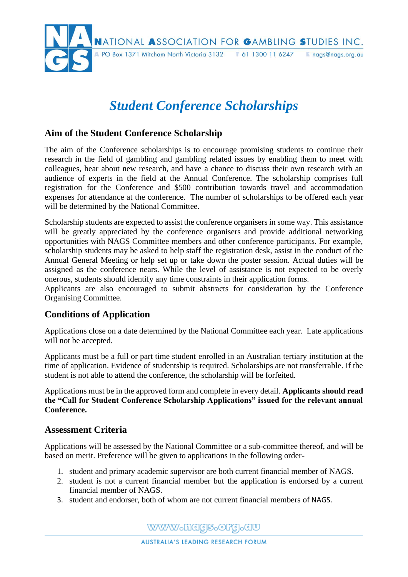

# *Student Conference Scholarships*

## **Aim of the Student Conference Scholarship**

The aim of the Conference scholarships is to encourage promising students to continue their research in the field of gambling and gambling related issues by enabling them to meet with colleagues, hear about new research, and have a chance to discuss their own research with an audience of experts in the field at the Annual Conference. The scholarship comprises full registration for the Conference and \$500 contribution towards travel and accommodation expenses for attendance at the conference. The number of scholarships to be offered each year will be determined by the National Committee.

Scholarship students are expected to assist the conference organisers in some way. This assistance will be greatly appreciated by the conference organisers and provide additional networking opportunities with NAGS Committee members and other conference participants. For example, scholarship students may be asked to help staff the registration desk, assist in the conduct of the Annual General Meeting or help set up or take down the poster session. Actual duties will be assigned as the conference nears. While the level of assistance is not expected to be overly onerous, students should identify any time constraints in their application forms.

Applicants are also encouraged to submit abstracts for consideration by the Conference Organising Committee.

## **Conditions of Application**

Applications close on a date determined by the National Committee each year. Late applications will not be accepted.

Applicants must be a full or part time student enrolled in an Australian tertiary institution at the time of application. Evidence of studentship is required. Scholarships are not transferrable. If the student is not able to attend the conference, the scholarship will be forfeited.

Applications must be in the approved form and complete in every detail. **Applicants should read the "Call for Student Conference Scholarship Applications" issued for the relevant annual Conference.** 

#### **Assessment Criteria**

Applications will be assessed by the National Committee or a sub-committee thereof, and will be based on merit. Preference will be given to applications in the following order-

- 1. student and primary academic supervisor are both current financial member of NAGS.
- 2. student is not a current financial member but the application is endorsed by a current financial member of NAGS.
- 3. student and endorser, both of whom are not current financial members of NAGS.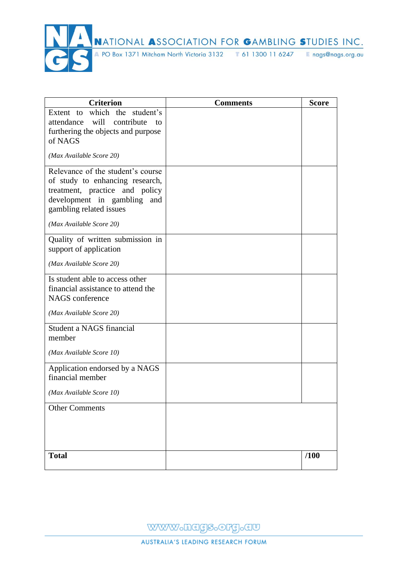

| <b>Criterion</b>                                                     | <b>Comments</b> | <b>Score</b> |
|----------------------------------------------------------------------|-----------------|--------------|
| Extent to which the student's<br>attendance will<br>contribute<br>to |                 |              |
| furthering the objects and purpose                                   |                 |              |
| of NAGS                                                              |                 |              |
| (Max Available Score 20)                                             |                 |              |
| Relevance of the student's course                                    |                 |              |
| of study to enhancing research,<br>treatment, practice and policy    |                 |              |
| development in gambling and                                          |                 |              |
| gambling related issues                                              |                 |              |
| (Max Available Score 20)                                             |                 |              |
| Quality of written submission in                                     |                 |              |
| support of application                                               |                 |              |
| (Max Available Score 20)                                             |                 |              |
| Is student able to access other                                      |                 |              |
| financial assistance to attend the<br>NAGS conference                |                 |              |
|                                                                      |                 |              |
| (Max Available Score 20)                                             |                 |              |
| Student a NAGS financial                                             |                 |              |
| member                                                               |                 |              |
| (Max Available Score 10)                                             |                 |              |
| Application endorsed by a NAGS                                       |                 |              |
| financial member                                                     |                 |              |
| (Max Available Score 10)                                             |                 |              |
| <b>Other Comments</b>                                                |                 |              |
|                                                                      |                 |              |
|                                                                      |                 |              |
| <b>Total</b>                                                         |                 | /100         |
|                                                                      |                 |              |